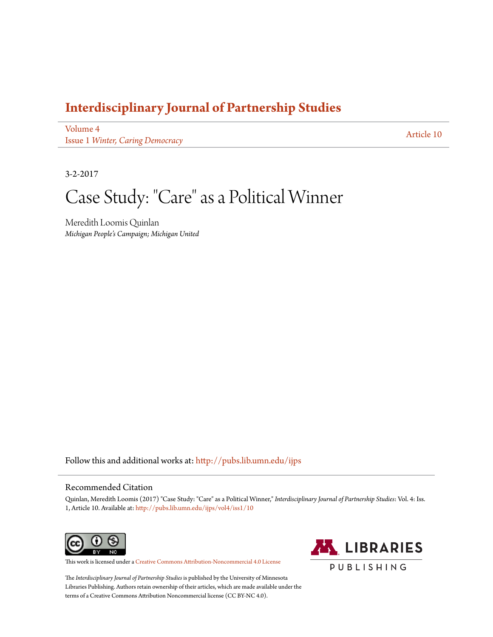# **[Interdisciplinary Journal of Partnership Studies](http://pubs.lib.umn.edu/ijps?utm_source=pubs.lib.umn.edu%2Fijps%2Fvol4%2Fiss1%2F10&utm_medium=PDF&utm_campaign=PDFCoverPages)**

[Volume 4](http://pubs.lib.umn.edu/ijps/vol4?utm_source=pubs.lib.umn.edu%2Fijps%2Fvol4%2Fiss1%2F10&utm_medium=PDF&utm_campaign=PDFCoverPages) Issue 1 *[Winter, Caring Democracy](http://pubs.lib.umn.edu/ijps/vol4/iss1?utm_source=pubs.lib.umn.edu%2Fijps%2Fvol4%2Fiss1%2F10&utm_medium=PDF&utm_campaign=PDFCoverPages)*

[Article 10](http://pubs.lib.umn.edu/ijps/vol4/iss1/10?utm_source=pubs.lib.umn.edu%2Fijps%2Fvol4%2Fiss1%2F10&utm_medium=PDF&utm_campaign=PDFCoverPages)

3-2-2017

Case Study: "Care" as a Political Winner

Meredith Loomis Quinlan *Michigan People's Campaign; Michigan United*

Follow this and additional works at: [http://pubs.lib.umn.edu/ijps](http://pubs.lib.umn.edu/ijps?utm_source=pubs.lib.umn.edu%2Fijps%2Fvol4%2Fiss1%2F10&utm_medium=PDF&utm_campaign=PDFCoverPages)

#### Recommended Citation

Quinlan, Meredith Loomis (2017) "Case Study: "Care" as a Political Winner," *Interdisciplinary Journal of Partnership Studies*: Vol. 4: Iss. 1, Article 10. Available at: [http://pubs.lib.umn.edu/ijps/vol4/iss1/10](http://pubs.lib.umn.edu/ijps/vol4/iss1/10?utm_source=pubs.lib.umn.edu%2Fijps%2Fvol4%2Fiss1%2F10&utm_medium=PDF&utm_campaign=PDFCoverPages)



This work is licensed under a [Creative Commons Attribution-Noncommercial 4.0 License](http://creativecommons.org/licenses/by-nc/4.0/)



The *Interdisciplinary Journal of Partnership Studies* is published by the University of Minnesota Libraries Publishing. Authors retain ownership of their articles, which are made available under the terms of a Creative Commons Attribution Noncommercial license (CC BY-NC 4.0).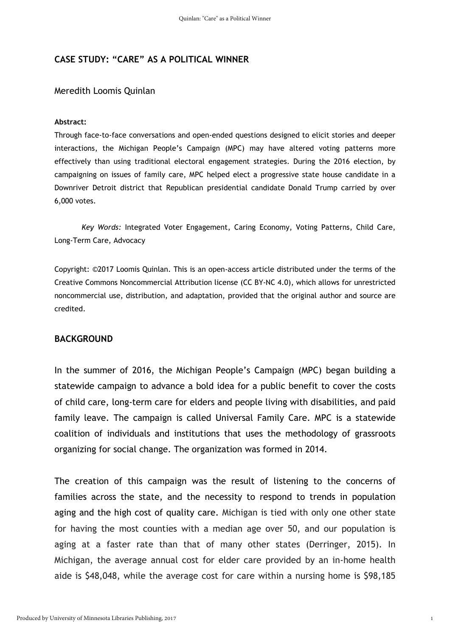## **CASE STUDY: "CARE" AS A POLITICAL WINNER**

#### Meredith Loomis Quinlan

#### **Abstract:**

Through face-to-face conversations and open-ended questions designed to elicit stories and deeper interactions, the Michigan People's Campaign (MPC) may have altered voting patterns more effectively than using traditional electoral engagement strategies. During the 2016 election, by campaigning on issues of family care, MPC helped elect a progressive state house candidate in a Downriver Detroit district that Republican presidential candidate Donald Trump carried by over 6,000 votes.

*Key Words:* Integrated Voter Engagement, Caring Economy, Voting Patterns, Child Care, Long-Term Care, Advocacy

Copyright: ©2017 Loomis Quinlan. This is an open-access article distributed under the terms of the Creative Commons Noncommercial Attribution license (CC BY-NC 4.0), which allows for unrestricted noncommercial use, distribution, and adaptation, provided that the original author and source are credited.

### **BACKGROUND**

In the summer of 2016, the Michigan People's Campaign (MPC) began building a statewide campaign to advance a bold idea for a public benefit to cover the costs of child care, long-term care for elders and people living with disabilities, and paid family leave. The campaign is called Universal Family Care. MPC is a statewide coalition of individuals and institutions that uses the methodology of grassroots organizing for social change. The organization was formed in 2014.

The creation of this campaign was the result of listening to the concerns of families across the state, and the necessity to respond to trends in population aging and the high cost of quality care. Michigan is tied with only one other state for having the most counties with a median age over 50, and our population is aging at a faster rate than that of many other states (Derringer, 2015). In Michigan, the average annual cost for elder care provided by an in-home health aide is \$48,048, while the average cost for care within a nursing home is \$98,185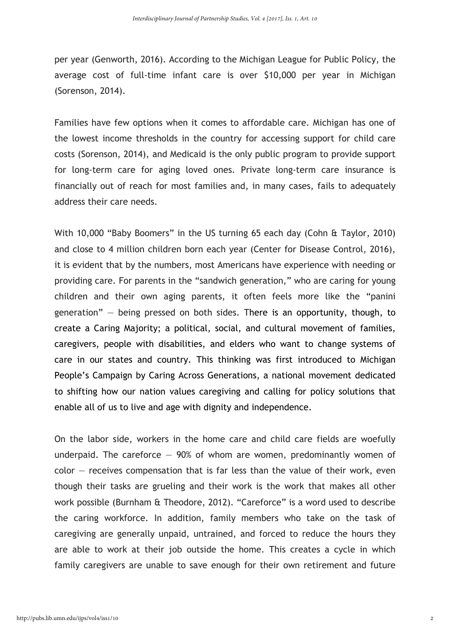per year (Genworth, 2016). According to the Michigan League for Public Policy, the average cost of full-time infant care is over \$10,000 per year in Michigan (Sorenson, 2014).

Families have few options when it comes to affordable care. Michigan has one of the lowest income thresholds in the country for accessing support for child care costs (Sorenson, 2014), and Medicaid is the only public program to provide support for long-term care for aging loved ones. Private long-term care insurance is financially out of reach for most families and, in many cases, fails to adequately address their care needs.

With 10,000 "Baby Boomers" in the US turning 65 each day (Cohn & Taylor, 2010) and close to 4 million children born each year (Center for Disease Control, 2016), it is evident that by the numbers, most Americans have experience with needing or providing care. For parents in the "sandwich generation," who are caring for young children and their own aging parents, it often feels more like the "panini generation" — being pressed on both sides. There is an opportunity, though, to create a Caring Majority; a political, social, and cultural movement of families, caregivers, people with disabilities, and elders who want to change systems of care in our states and country. This thinking was first introduced to Michigan People's Campaign by Caring Across Generations, a national movement dedicated to shifting how our nation values caregiving and calling for policy solutions that enable all of us to live and age with dignity and independence.

On the labor side, workers in the home care and child care fields are woefully underpaid. The careforce  $-$  90% of whom are women, predominantly women of  $color -$  receives compensation that is far less than the value of their work, even though their tasks are grueling and their work is the work that makes all other work possible (Burnham & Theodore, 2012). "Careforce" is a word used to describe the caring workforce. In addition, family members who take on the task of caregiving are generally unpaid, untrained, and forced to reduce the hours they are able to work at their job outside the home. This creates a cycle in which family caregivers are unable to save enough for their own retirement and future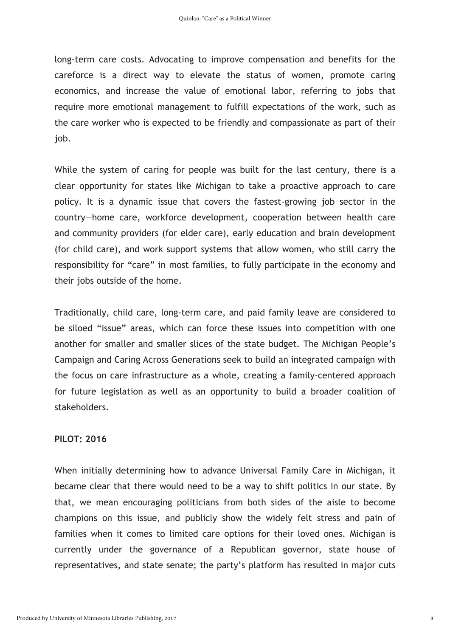long-term care costs. Advocating to improve compensation and benefits for the careforce is a direct way to elevate the status of women, promote caring economics, and increase the value of emotional labor, referring to jobs that require more emotional management to fulfill expectations of the work, such as the care worker who is expected to be friendly and compassionate as part of their job.

While the system of caring for people was built for the last century, there is a clear opportunity for states like Michigan to take a proactive approach to care policy. It is a dynamic issue that covers the fastest-growing job sector in the country—home care, workforce development, cooperation between health care and community providers (for elder care), early education and brain development (for child care), and work support systems that allow women, who still carry the responsibility for "care" in most families, to fully participate in the economy and their jobs outside of the home.

Traditionally, child care, long-term care, and paid family leave are considered to be siloed "issue" areas, which can force these issues into competition with one another for smaller and smaller slices of the state budget. The Michigan People's Campaign and Caring Across Generations seek to build an integrated campaign with the focus on care infrastructure as a whole, creating a family-centered approach for future legislation as well as an opportunity to build a broader coalition of stakeholders.

## **PILOT: 2016**

When initially determining how to advance Universal Family Care in Michigan, it became clear that there would need to be a way to shift politics in our state. By that, we mean encouraging politicians from both sides of the aisle to become champions on this issue, and publicly show the widely felt stress and pain of families when it comes to limited care options for their loved ones. Michigan is currently under the governance of a Republican governor, state house of representatives, and state senate; the party's platform has resulted in major cuts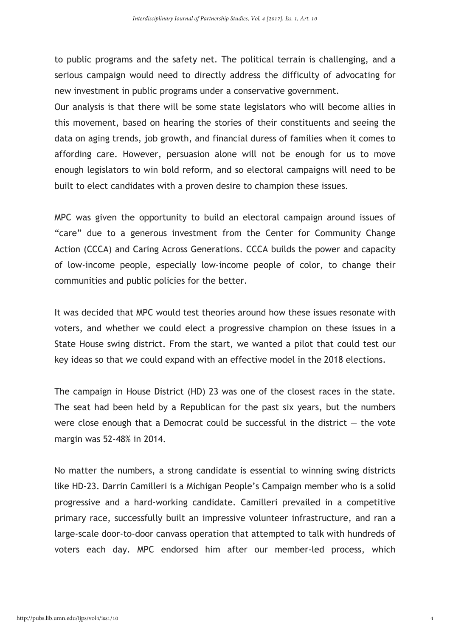to public programs and the safety net. The political terrain is challenging, and a serious campaign would need to directly address the difficulty of advocating for new investment in public programs under a conservative government.

Our analysis is that there will be some state legislators who will become allies in this movement, based on hearing the stories of their constituents and seeing the data on aging trends, job growth, and financial duress of families when it comes to affording care. However, persuasion alone will not be enough for us to move enough legislators to win bold reform, and so electoral campaigns will need to be built to elect candidates with a proven desire to champion these issues.

MPC was given the opportunity to build an electoral campaign around issues of "care" due to a generous investment from the Center for Community Change Action (CCCA) and Caring Across Generations. CCCA builds the power and capacity of low-income people, especially low-income people of color, to change their communities and public policies for the better.

It was decided that MPC would test theories around how these issues resonate with voters, and whether we could elect a progressive champion on these issues in a State House swing district. From the start, we wanted a pilot that could test our key ideas so that we could expand with an effective model in the 2018 elections.

The campaign in House District (HD) 23 was one of the closest races in the state. The seat had been held by a Republican for the past six years, but the numbers were close enough that a Democrat could be successful in the district  $-$  the vote margin was 52-48% in 2014.

No matter the numbers, a strong candidate is essential to winning swing districts like HD-23. Darrin Camilleri is a Michigan People's Campaign member who is a solid progressive and a hard-working candidate. Camilleri prevailed in a competitive primary race, successfully built an impressive volunteer infrastructure, and ran a large-scale door-to-door canvass operation that attempted to talk with hundreds of voters each day. MPC endorsed him after our member-led process, which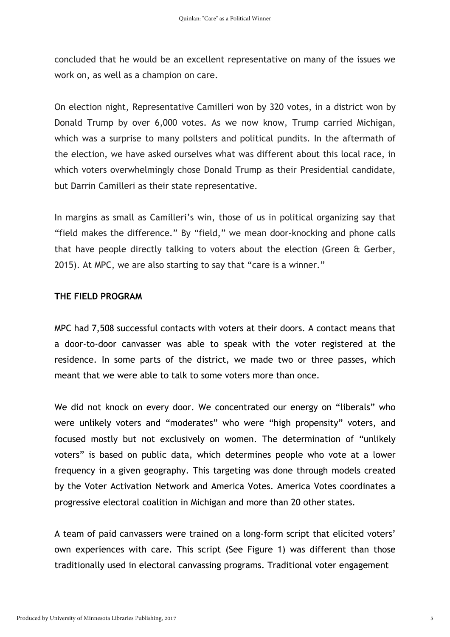concluded that he would be an excellent representative on many of the issues we work on, as well as a champion on care.

On election night, Representative Camilleri won by 320 votes, in a district won by Donald Trump by over 6,000 votes. As we now know, Trump carried Michigan, which was a surprise to many pollsters and political pundits. In the aftermath of the election, we have asked ourselves what was different about this local race, in which voters overwhelmingly chose Donald Trump as their Presidential candidate, but Darrin Camilleri as their state representative.

In margins as small as Camilleri's win, those of us in political organizing say that "field makes the difference." By "field," we mean door-knocking and phone calls that have people directly talking to voters about the election (Green & Gerber, 2015). At MPC, we are also starting to say that "care is a winner."

# **THE FIELD PROGRAM**

MPC had 7,508 successful contacts with voters at their doors. A contact means that a door-to-door canvasser was able to speak with the voter registered at the residence. In some parts of the district, we made two or three passes, which meant that we were able to talk to some voters more than once.

We did not knock on every door. We concentrated our energy on "liberals" who were unlikely voters and "moderates" who were "high propensity" voters, and focused mostly but not exclusively on women. The determination of "unlikely voters" is based on public data, which determines people who vote at a lower frequency in a given geography. This targeting was done through models created by the Voter Activation Network and America Votes. America Votes coordinates a progressive electoral coalition in Michigan and more than 20 other states.

A team of paid canvassers were trained on a long-form script that elicited voters' own experiences with care. This script (See Figure 1) was different than those traditionally used in electoral canvassing programs. Traditional voter engagement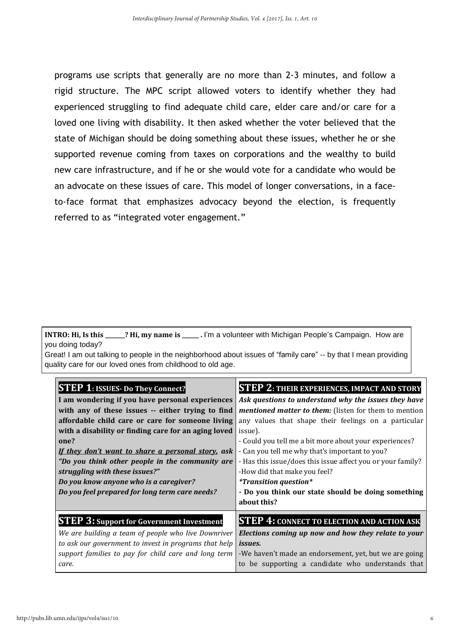programs use scripts that generally are no more than 2-3 minutes, and follow a rigid structure. The MPC script allowed voters to identify whether they had experienced struggling to find adequate child care, elder care and/or care for a loved one living with disability. It then asked whether the voter believed that the state of Michigan should be doing something about these issues, whether he or she supported revenue coming from taxes on corporations and the wealthy to build new care infrastructure, and if he or she would vote for a candidate who would be an advocate on these issues of care. This model of longer conversations, in a faceto-face format that emphasizes advocacy beyond the election, is frequently referred to as "integrated voter engagement."

**INTRO: Hi, Is this \_\_\_\_\_\_\_? Hi, my name is \_\_\_\_\_\_ .** I'm a volunteer with Michigan People's Campaign. How are you doing today?

Great! I am out talking to people in the neighborhood about issues of "family care" -- by that I mean providing quality care for our loved ones from childhood to old age.

| <b>STEP 1: ISSUES- Do They Connect?</b>               | <b>STEP 2: THEIR EXPERIENCES, IMPACT AND STORY</b>          |  |  |
|-------------------------------------------------------|-------------------------------------------------------------|--|--|
| I am wondering if you have personal experiences       | Ask questions to understand why the issues they have        |  |  |
| with any of these issues -- either trying to find     | mentioned matter to them: (listen for them to mention       |  |  |
| affordable child care or care for someone living      | any values that shape their feelings on a particular        |  |  |
| with a disability or finding care for an aging loved  | issue).                                                     |  |  |
| one?                                                  | - Could you tell me a bit more about your experiences?      |  |  |
| If they don't want to share a personal story, ask     | - Can you tell me why that's important to you?              |  |  |
| "Do you think other people in the community are       | - Has this issue/does this issue affect you or your family? |  |  |
| struggling with these issues?"                        | -How did that make you feel?                                |  |  |
| Do you know anyone who is a caregiver?                | <i>*Transition question*</i>                                |  |  |
| Do you feel prepared for long term care needs?        | - Do you think our state should be doing something          |  |  |
|                                                       | about this?                                                 |  |  |
| <b>STEP 3: Support for Government Investment</b>      | <b>STEP 4: CONNECT TO ELECTION AND ACTION ASK</b>           |  |  |
| We are building a team of people who live Downriver   | Elections coming up now and how they relate to your         |  |  |
| to ask our government to invest in programs that help | <i>issues.</i>                                              |  |  |
| support families to pay for child care and long term  | -We haven't made an endorsement, yet, but we are going      |  |  |
| care.                                                 | to be supporting a candidate who understands that           |  |  |
|                                                       |                                                             |  |  |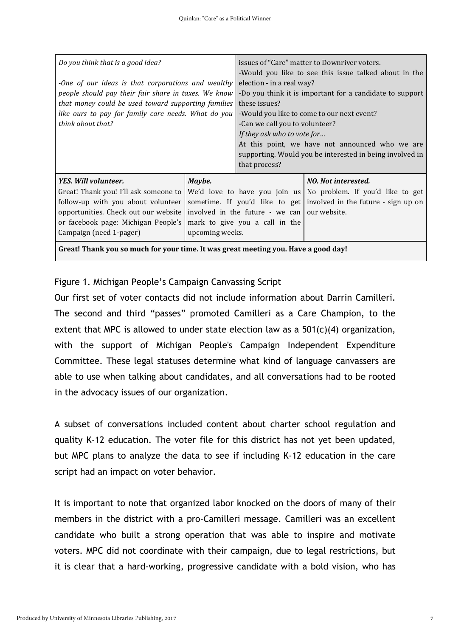| Do you think that is a good idea?<br>-One of our ideas is that corporations and wealthy<br>people should pay their fair share in taxes. We know<br>that money could be used toward supporting families<br>like ours to pay for family care needs. What do you<br>think about that? |                           | issues of "Care" matter to Downriver voters.<br>-Would you like to see this issue talked about in the<br>election - in a real way?<br>-Do you think it is important for a candidate to support<br>these issues?<br>-Would you like to come to our next event?<br>-Can we call you to volunteer?<br>If they ask who to vote for<br>At this point, we have not announced who we are<br>supporting. Would you be interested in being involved in<br>that process? |                                                                                                                                                                             |  |
|------------------------------------------------------------------------------------------------------------------------------------------------------------------------------------------------------------------------------------------------------------------------------------|---------------------------|----------------------------------------------------------------------------------------------------------------------------------------------------------------------------------------------------------------------------------------------------------------------------------------------------------------------------------------------------------------------------------------------------------------------------------------------------------------|-----------------------------------------------------------------------------------------------------------------------------------------------------------------------------|--|
| YES. Will volunteer.<br>Great! Thank you! I'll ask someone to<br>follow-up with you about volunteer<br>opportunities. Check out our website<br>or facebook page: Michigan People's<br>Campaign (need 1-pager)                                                                      | Maybe.<br>upcoming weeks. | involved in the future - we can<br>mark to give you a call in the                                                                                                                                                                                                                                                                                                                                                                                              | NO. Not interested.<br>We'd love to have you join us No problem. If you'd like to get<br>sometime. If you'd like to get involved in the future - sign up on<br>our website. |  |
| Great! Thank you so much for your time. It was great meeting you. Have a good day!                                                                                                                                                                                                 |                           |                                                                                                                                                                                                                                                                                                                                                                                                                                                                |                                                                                                                                                                             |  |

Figure 1. Michigan People's Campaign Canvassing Script

Our first set of voter contacts did not include information about Darrin Camilleri. The second and third "passes" promoted Camilleri as a Care Champion, to the extent that MPC is allowed to under state election law as a 501(c)(4) organization, with the support of Michigan People's Campaign Independent Expenditure Committee. These legal statuses determine what kind of language canvassers are able to use when talking about candidates, and all conversations had to be rooted in the advocacy issues of our organization.

A subset of conversations included content about charter school regulation and quality K-12 education. The voter file for this district has not yet been updated, but MPC plans to analyze the data to see if including K-12 education in the care script had an impact on voter behavior.

It is important to note that organized labor knocked on the doors of many of their members in the district with a pro-Camilleri message. Camilleri was an excellent candidate who built a strong operation that was able to inspire and motivate voters. MPC did not coordinate with their campaign, due to legal restrictions, but it is clear that a hard-working, progressive candidate with a bold vision, who has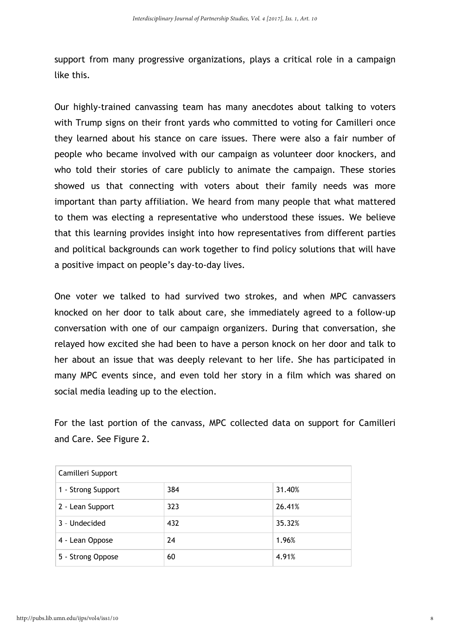support from many progressive organizations, plays a critical role in a campaign like this.

Our highly-trained canvassing team has many anecdotes about talking to voters with Trump signs on their front yards who committed to voting for Camilleri once they learned about his stance on care issues. There were also a fair number of people who became involved with our campaign as volunteer door knockers, and who told their stories of care publicly to animate the campaign. These stories showed us that connecting with voters about their family needs was more important than party affiliation. We heard from many people that what mattered to them was electing a representative who understood these issues. We believe that this learning provides insight into how representatives from different parties and political backgrounds can work together to find policy solutions that will have a positive impact on people's day-to-day lives.

One voter we talked to had survived two strokes, and when MPC canvassers knocked on her door to talk about care, she immediately agreed to a follow-up conversation with one of our campaign organizers. During that conversation, she relayed how excited she had been to have a person knock on her door and talk to her about an issue that was deeply relevant to her life. She has participated in many MPC events since, and even told her story in a film which was shared on social media leading up to the election.

For the last portion of the canvass, MPC collected data on support for Camilleri and Care. See Figure 2.

| Camilleri Support  |     |        |  |  |
|--------------------|-----|--------|--|--|
| 1 - Strong Support | 384 | 31.40% |  |  |
| 2 - Lean Support   | 323 | 26.41% |  |  |
| 3 - Undecided      | 432 | 35.32% |  |  |
| 4 - Lean Oppose    | 24  | 1.96%  |  |  |
| 5 - Strong Oppose  | 60  | 4.91%  |  |  |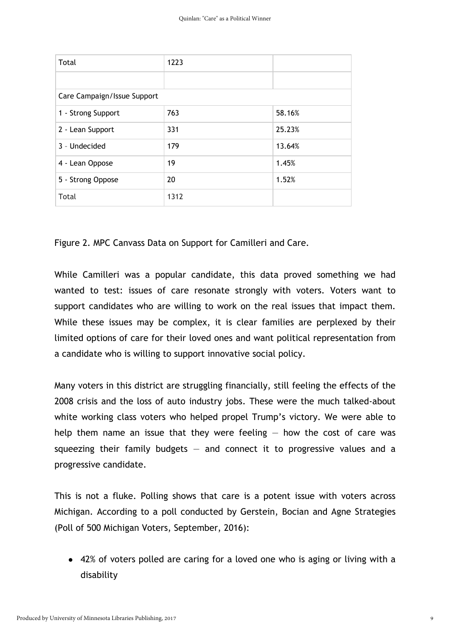| Total                       | 1223 |        |  |  |
|-----------------------------|------|--------|--|--|
|                             |      |        |  |  |
| Care Campaign/Issue Support |      |        |  |  |
| 1 - Strong Support          | 763  | 58.16% |  |  |
| 2 - Lean Support            | 331  | 25.23% |  |  |
| 3 - Undecided               | 179  | 13.64% |  |  |
| 4 - Lean Oppose             | 19   | 1.45%  |  |  |
| 5 - Strong Oppose           | 20   | 1.52%  |  |  |
| Total                       | 1312 |        |  |  |

Figure 2. MPC Canvass Data on Support for Camilleri and Care.

While Camilleri was a popular candidate, this data proved something we had wanted to test: issues of care resonate strongly with voters. Voters want to support candidates who are willing to work on the real issues that impact them. While these issues may be complex, it is clear families are perplexed by their limited options of care for their loved ones and want political representation from a candidate who is willing to support innovative social policy.

Many voters in this district are struggling financially, still feeling the effects of the 2008 crisis and the loss of auto industry jobs. These were the much talked-about white working class voters who helped propel Trump's victory. We were able to help them name an issue that they were feeling  $-$  how the cost of care was squeezing their family budgets  $-$  and connect it to progressive values and a progressive candidate.

This is not a fluke. Polling shows that care is a potent issue with voters across Michigan. According to a poll conducted by Gerstein, Bocian and Agne Strategies (Poll of 500 Michigan Voters, September, 2016):

• 42% of voters polled are caring for a loved one who is aging or living with a disability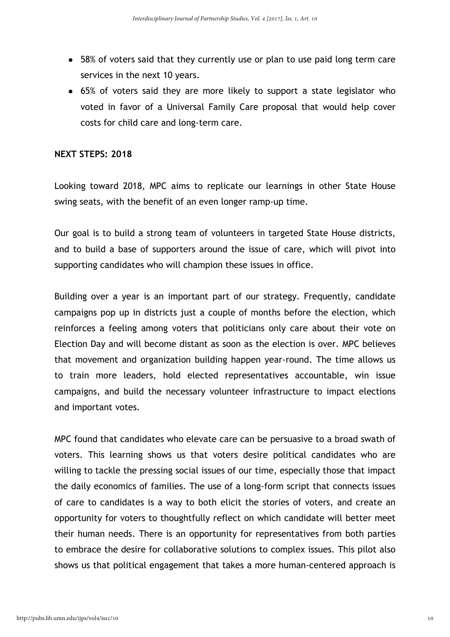- 58% of voters said that they currently use or plan to use paid long term care services in the next 10 years.
- 65% of voters said they are more likely to support a state legislator who voted in favor of a Universal Family Care proposal that would help cover costs for child care and long-term care.

### **NEXT STEPS: 2018**

Looking toward 2018, MPC aims to replicate our learnings in other State House swing seats, with the benefit of an even longer ramp-up time.

Our goal is to build a strong team of volunteers in targeted State House districts, and to build a base of supporters around the issue of care, which will pivot into supporting candidates who will champion these issues in office.

Building over a year is an important part of our strategy. Frequently, candidate campaigns pop up in districts just a couple of months before the election, which reinforces a feeling among voters that politicians only care about their vote on Election Day and will become distant as soon as the election is over. MPC believes that movement and organization building happen year-round. The time allows us to train more leaders, hold elected representatives accountable, win issue campaigns, and build the necessary volunteer infrastructure to impact elections and important votes.

MPC found that candidates who elevate care can be persuasive to a broad swath of voters. This learning shows us that voters desire political candidates who are willing to tackle the pressing social issues of our time, especially those that impact the daily economics of families. The use of a long-form script that connects issues of care to candidates is a way to both elicit the stories of voters, and create an opportunity for voters to thoughtfully reflect on which candidate will better meet their human needs. There is an opportunity for representatives from both parties to embrace the desire for collaborative solutions to complex issues. This pilot also shows us that political engagement that takes a more human-centered approach is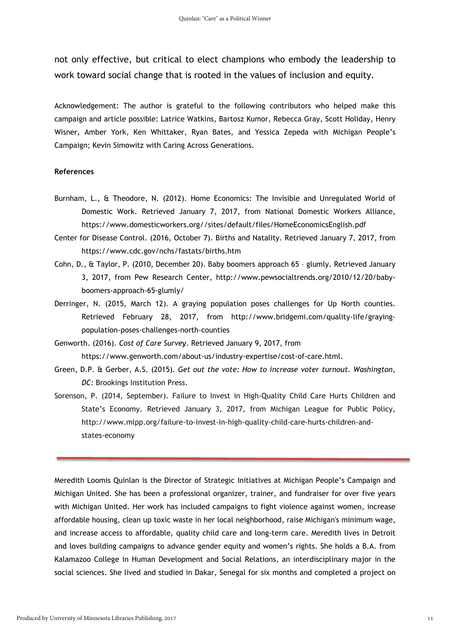not only effective, but critical to elect champions who embody the leadership to work toward social change that is rooted in the values of inclusion and equity.

Acknowledgement: The author is grateful to the following contributors who helped make this campaign and article possible: Latrice Watkins, Bartosz Kumor, Rebecca Gray, Scott Holiday, Henry Wisner, Amber York, Ken Whittaker, Ryan Bates, and Yessica Zepeda with Michigan People's Campaign; Kevin Simowitz with Caring Across Generations.

#### **References**

- Burnham, L., & Theodore, N. (2012). Home Economics: The Invisible and Unregulated World of Domestic Work. Retrieved January 7, 2017, from National Domestic Workers Alliance, https://www.domesticworkers.org//sites/default/files/HomeEconomicsEnglish.pdf
- Center for Disease Control. (2016, October 7). Births and Natality. Retrieved January 7, 2017, from https://www.cdc.gov/nchs/fastats/births.htm
- Cohn, D., & Taylor, P. (2010, December 20). Baby boomers approach 65 glumly. Retrieved January 3, 2017, from Pew Research Center, http://www.pewsocialtrends.org/2010/12/20/babyboomers-approach-65-glumly/
- Derringer, N. (2015, March 12). A graying population poses challenges for Up North counties. Retrieved February 28, 2017, from http://www.bridgemi.com/quality-life/grayingpopulation-poses-challenges-north-counties
- Genworth. (2016). *Cost of Care Survey*. Retrieved January 9, 2017, from https://www.genworth.com/about-us/industry-expertise/cost-of-care.html.
- Green, D.P. & Gerber, A.S. (2015). *Get out the vote: How to increase voter turnout. Washington, DC:* Brookings Institution Press.
- Sorenson, P. (2014, September). Failure to Invest in High-Quality Child Care Hurts Children and State's Economy. Retrieved January 3, 2017, from Michigan League for Public Policy, http://www.mlpp.org/failure-to-invest-in-high-quality-child-care-hurts-children-andstates-economy

Meredith Loomis Quinlan is the Director of Strategic Initiatives at Michigan People's Campaign and Michigan United. She has been a professional organizer, trainer, and fundraiser for over five years with Michigan United. Her work has included campaigns to fight violence against women, increase affordable housing, clean up toxic waste in her local neighborhood, raise Michigan's minimum wage, and increase access to affordable, quality child care and long-term care. Meredith lives in Detroit and loves building campaigns to advance gender equity and women's rights. She holds a B.A. from Kalamazoo College in Human Development and Social Relations, an interdisciplinary major in the social sciences. She lived and studied in Dakar, Senegal for six months and completed a project on